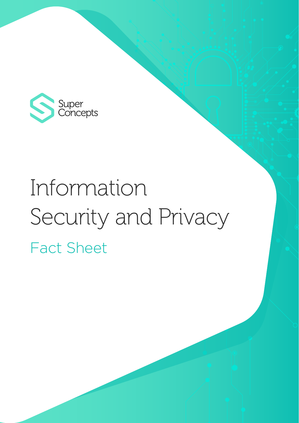

# Information Security and Privacy Fact Sheet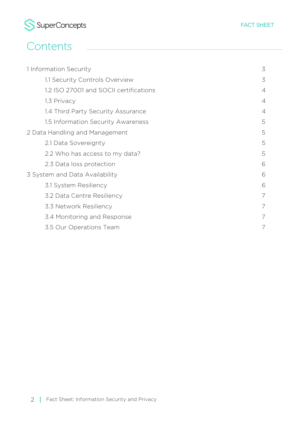

| 1 Information Security                 | 3 |
|----------------------------------------|---|
| 1.1 Security Controls Overview         | 3 |
| 1.2 ISO 27001 and SOCII certifications | 4 |
| 1.3 Privacy                            | 4 |
| 1.4 Third Party Security Assurance     | 4 |
| 1.5 Information Security Awareness     | 5 |
| 2 Data Handling and Management         | 5 |
| 2.1 Data Sovereignty                   | 5 |
| 2.2 Who has access to my data?         | 5 |
| 2.3 Data loss protection               | 6 |
| 3 System and Data Availability         | 6 |
| 3.1 System Resiliency                  | 6 |
| 3.2 Data Centre Resiliency             | 7 |
| 3.3 Network Resiliency                 |   |
| 3.4 Monitoring and Response            | 7 |
| 3.5 Our Operations Team                | 7 |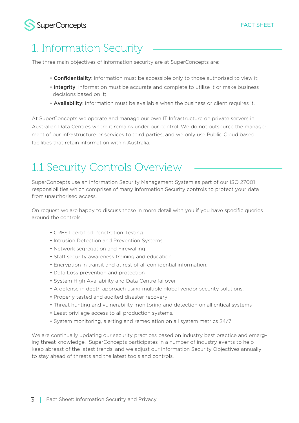

# **SuperConcepts**

# 1. Information Security

The three main objectives of information security are at SuperConcepts are;

- Confidentiality: Information must be accessible only to those authorised to view it;
- Integrity: Information must be accurate and complete to utilise it or make business decisions based on it;
- Availability: Information must be available when the business or client requires it.

At SuperConcepts we operate and manage our own IT Infrastructure on private servers in Australian Data Centres where it remains under our control. We do not outsource the management of our infrastructure or services to third parties, and we only use Public Cloud based facilities that retain information within Australia.

# 1.1 Security Controls Overview

SuperConcepts use an Information Security Management System as part of our ISO 27001 responsibilities which comprises of many Information Security controls to protect your data from unauthorised access.

On request we are happy to discuss these in more detail with you if you have specific queries around the controls.

- CREST certified Penetration Testing.
- Intrusion Detection and Prevention Systems
- Network segregation and Firewalling
- Staff security awareness training and education
- Encryption in transit and at rest of all confidential information.
- Data Loss prevention and protection
- System High Availability and Data Centre failover
- A defense in depth approach using multiple global vendor security solutions.
- Properly tested and audited disaster recovery
- Threat hunting and vulnerability monitoring and detection on all critical systems
- Least privilege access to all production systems.
- System monitoring, alerting and remediation on all system metrics 24/7

We are continually updating our security practices based on industry best practice and emerging threat knowledge. SuperConcepts participates in a number of industry events to help keep abreast of the latest trends, and we adjust our Information Security Objectives annually to stay ahead of threats and the latest tools and controls.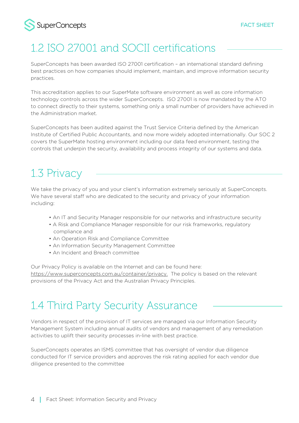

# 1.2 ISO 27001 and SOCII certifications

SuperConcepts has been awarded ISO 27001 certification – an international standard defining best practices on how companies should implement, maintain, and improve information security practices.

This accreditation applies to our SuperMate software environment as well as core information technology controls across the wider SuperConcepts. ISO 27001 is now mandated by the ATO to connect directly to their systems, something only a small number of providers have achieved in the Administration market.

SuperConcepts has been audited against the Trust Service Criteria defined by the American Institute of Certified Public Accountants, and now more widely adopted internationally. Our SOC 2 covers the SuperMate hosting environment including our data feed environment, testing the controls that underpin the security, availability and process integrity of our systems and data.

# 1.3 Privacy

We take the privacy of you and your client's information extremely seriously at SuperConcepts. We have several staff who are dedicated to the security and privacy of your information including:

- An IT and Security Manager responsible for our networks and infrastructure security
- A Risk and Compliance Manager responsible for our risk frameworks, regulatory compliance and
- An Operation Risk and Compliance Committee
- An Information Security Management Committee
- An Incident and Breach committee

Our Privacy Policy is available on the Internet and can be found here: https://www.superconcepts.com.au/container/privacy. The policy is based on the relevant provisions of the Privacy Act and the Australian Privacy Principles.

# 1.4 Third Party Security Assurance

Vendors in respect of the provision of IT services are managed via our Information Security Management System including annual audits of vendors and management of any remediation activities to uplift their security processes in-line with best practice.

SuperConcepts operates an ISMS committee that has oversight of vendor due diligence conducted for IT service providers and approves the risk rating applied for each vendor due diligence presented to the committee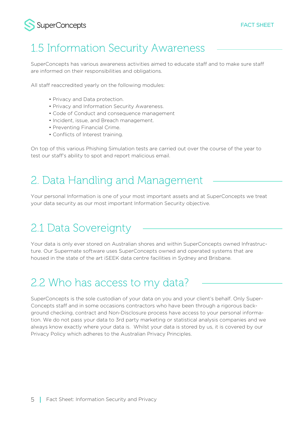

# 1.5 Information Security Awareness

SuperConcepts has various awareness activities aimed to educate staff and to make sure staff are informed on their responsibilities and obligations.

All staff reaccredited yearly on the following modules:

- Privacy and Data protection.
- Privacy and Information Security Awareness.
- Code of Conduct and consequence management
- Incident, issue, and Breach management.
- Preventing Financial Crime.
- Conflicts of Interest training.

On top of this various Phishing Simulation tests are carried out over the course of the year to test our staff's ability to spot and report malicious email.

# 2. Data Handling and Management

Your personal Information is one of your most important assets and at SuperConcepts we treat your data security as our most important Information Security objective.

# 2.1 Data Sovereignty

Your data is only ever stored on Australian shores and within SuperConcepts owned Infrastructure. Our Supermate software uses SuperConcepts owned and operated systems that are housed in the state of the art iSEEK data centre facilities in Sydney and Brisbane.

# 2.2 Who has access to my data?

SuperConcepts is the sole custodian of your data on you and your client's behalf. Only Super-Concepts staff and in some occasions contractors who have been through a rigorous background checking, contract and Non-Disclosure process have access to your personal information. We do not pass your data to 3rd party marketing or statistical analysis companies and we always know exactly where your data is. Whilst your data is stored by us, it is covered by our Privacy Policy which adheres to the Australian Privacy Principles.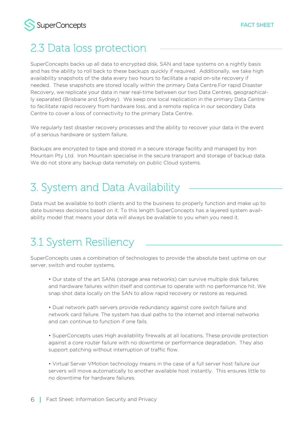

# 2.3 Data loss protection

SuperConcepts backs up all data to encrypted disk, SAN and tape systems on a nightly basis and has the ability to roll back to these backups quickly if required. Additionally, we take high availability snapshots of the data every two hours to facilitate a rapid on-site recovery if needed. These snapshots are stored locally within the primary Data Centre.For rapid Disaster Recovery, we replicate your data in near real-time between our two Data Centres, geographically separated (Brisbane and Sydney). We keep one local replication in the primary Data Centre to facilitate rapid recovery from hardware loss, and a remote replica in our secondary Data Centre to cover a loss of connectivity to the primary Data Centre.

We regularly test disaster recovery processes and the ability to recover your data in the event of a serious hardware or system failure.

Backups are encrypted to tape and stored in a secure storage facility and managed by Iron Mountain Pty Ltd. Iron Mountain specialise in the secure transport and storage of backup data. We do not store any backup data remotely on public Cloud systems.

# 3. System and Data Availability

Data must be available to both clients and to the business to properly function and make up to date business decisions based on it. To this length SuperConcepts has a layered system availability model that means your data will always be available to you when you need it.

# 3.1 System Resiliency

SuperConcepts uses a combination of technologies to provide the absolute best uptime on our server, switch and router systems.

 • Our state of the art SANs (storage area networks) can survive multiple disk failures and hardware failures within itself and continue to operate with no performance hit. We snap shot data locally on the SAN to allow rapid recovery or restore as required.

 • Dual network path servers provide redundancy against core switch failure and network card failure. The system has dual paths to the internet and internal networks and can continue to function if one fails.

 • SuperConcepts uses High availability firewalls at all locations. These provide protection against a core router failure with no downtime or performance degradation. They also support patching without interruption of traffic flow.

 • Virtual Server VMotion technology means in the case of a full server host failure our servers will move automatically to another available host instantly. This ensures little to no downtime for hardware failures.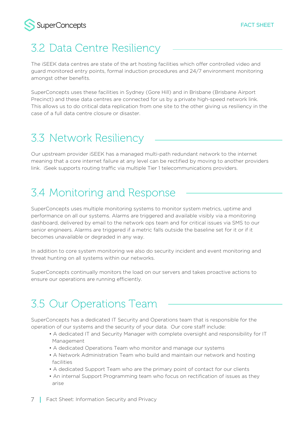

# 3.2 Data Centre Resiliency

The iSEEK data centres are state of the art hosting facilities which offer controlled video and guard monitored entry points, formal induction procedures and 24/7 environment monitoring amongst other benefits.

SuperConcepts uses these facilities in Sydney (Gore Hill) and in Brisbane (Brisbane Airport Precinct) and these data centres are connected for us by a private high-speed network link. This allows us to do critical data replication from one site to the other giving us resiliency in the case of a full data centre closure or disaster.

# 3.3 Network Resiliency

Our upstream provider iSEEK has a managed multi-path redundant network to the internet meaning that a core internet failure at any level can be rectified by moving to another providers link. iSeek supports routing traffic via multiple Tier 1 telecommunications providers.

# 3.4 Monitoring and Response

SuperConcepts uses multiple monitoring systems to monitor system metrics, uptime and performance on all our systems. Alarms are triggered and available visibly via a monitoring dashboard, delivered by email to the network ops team and for critical issues via SMS to our senior engineers. Alarms are triggered if a metric falls outside the baseline set for it or if it becomes unavailable or degraded in any way.

In addition to core system monitoring we also do security incident and event monitoring and threat hunting on all systems within our networks.

SuperConcepts continually monitors the load on our servers and takes proactive actions to ensure our operations are running efficiently.

# 3.5 Our Operations Team

SuperConcepts has a dedicated IT Security and Operations team that is responsible for the operation of our systems and the security of your data. Our core staff include:

- A dedicated IT and Security Manager with complete oversight and responsibility for IT Management
- A dedicated Operations Team who monitor and manage our systems
- A Network Administration Team who build and maintain our network and hosting facilities
- A dedicated Support Team who are the primary point of contact for our clients
- An internal Support Programming team who focus on rectification of issues as they arise